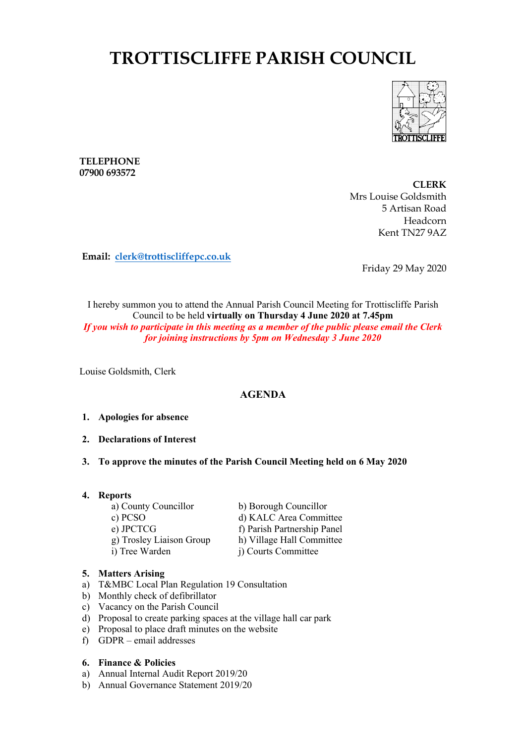# **TROTTISCLIFFE PARISH COUNCIL**



**TELEPHONE 07900 693572**

> **CLERK** Mrs Louise Goldsmith 5 Artisan Road Headcorn Kent TN27 9AZ

**Email: [clerk@trottiscliffepc.co.uk](mailto:clerk@trottiscliffepc.co.uk)**

Friday 29 May 2020

I hereby summon you to attend the Annual Parish Council Meeting for Trottiscliffe Parish Council to be held **virtually on Thursday 4 June 2020 at 7.45pm** *If you wish to participate in this meeting as a member of the public please email the Clerk for joining instructions by 5pm on Wednesday 3 June 2020*

Louise Goldsmith, Clerk

## **AGENDA**

## **1. Apologies for absence**

- **2. Declarations of Interest**
- **3. To approve the minutes of the Parish Council Meeting held on 6 May 2020**
- **4. Reports**

a) County Councillor b) Borough Councillor e) JPCTCG f) Parish Partnership Panel g) Trosley Liaison Group h) Village Hall Committee i) Tree Warden j) Courts Committee

c) PCSO d) KALC Area Committee

- 
- 
- 

## **5. Matters Arising**

- a) T&MBC Local Plan Regulation 19 Consultation
- b) Monthly check of defibrillator
- c) Vacancy on the Parish Council
- d) Proposal to create parking spaces at the village hall car park
- e) Proposal to place draft minutes on the website
- f) GDPR email addresses

# **6. Finance & Policies**

- a) Annual Internal Audit Report 2019/20
- b) Annual Governance Statement 2019/20